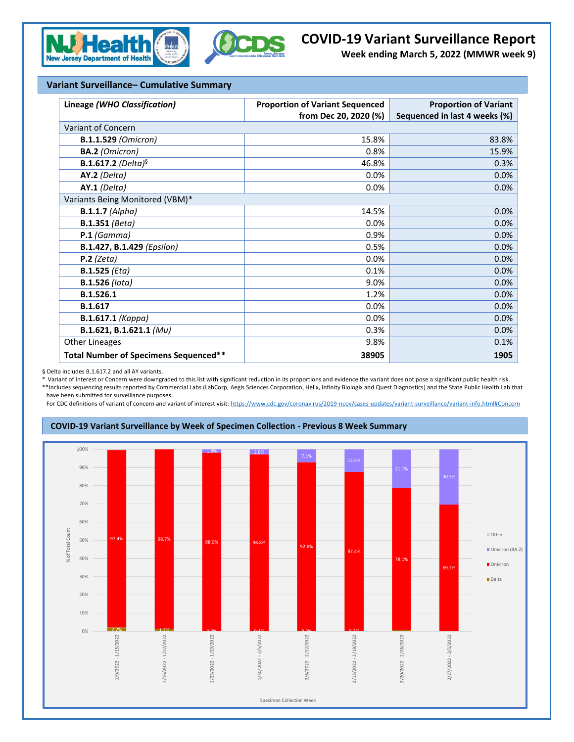



## **COVID-19 Variant Surveillance Report**

**Week ending March 5, 2022 (MMWR week 9)**

## **Variant Surveillance– Cumulative Summary**

| Lineage (WHO Classification)          | <b>Proportion of Variant Sequenced</b> | <b>Proportion of Variant</b>  |  |  |  |  |
|---------------------------------------|----------------------------------------|-------------------------------|--|--|--|--|
|                                       | from Dec 20, 2020 (%)                  | Sequenced in last 4 weeks (%) |  |  |  |  |
| Variant of Concern                    |                                        |                               |  |  |  |  |
| <b>B.1.1.529 (Omicron)</b>            | 15.8%                                  | 83.8%                         |  |  |  |  |
| <b>BA.2</b> (Omicron)                 | 0.8%                                   | 15.9%                         |  |  |  |  |
| <b>B.1.617.2</b> (Delta) <sup>§</sup> | 46.8%                                  | 0.3%                          |  |  |  |  |
| AY.2 (Delta)                          | 0.0%                                   | 0.0%                          |  |  |  |  |
| $AY.1$ (Delta)                        | 0.0%                                   | 0.0%                          |  |  |  |  |
| Variants Being Monitored (VBM)*       |                                        |                               |  |  |  |  |
| $B.1.1.7$ (Alpha)                     | 14.5%                                  | 0.0%                          |  |  |  |  |
| <b>B.1.351</b> (Beta)                 | 0.0%                                   | 0.0%                          |  |  |  |  |
| $P.1$ (Gamma)                         | 0.9%                                   | 0.0%                          |  |  |  |  |
| B.1.427, B.1.429 (Epsilon)            | 0.5%                                   | 0.0%                          |  |  |  |  |
| $P.2$ (Zeta)                          | 0.0%                                   | 0.0%                          |  |  |  |  |
| $B.1.525$ ( <i>Eta</i> )              | 0.1%                                   | 0.0%                          |  |  |  |  |
| <b>B.1.526</b> (lota)                 | 9.0%                                   | 0.0%                          |  |  |  |  |
| B.1.526.1                             | 1.2%                                   | 0.0%                          |  |  |  |  |
| B.1.617                               | 0.0%                                   | 0.0%                          |  |  |  |  |
| <b>B.1.617.1 (Kappa)</b>              | 0.0%                                   | 0.0%                          |  |  |  |  |
| B.1.621, B.1.621.1 (Mu)               | 0.3%                                   | 0.0%                          |  |  |  |  |
| <b>Other Lineages</b>                 | 9.8%                                   | 0.1%                          |  |  |  |  |
| Total Number of Specimens Sequenced** | 38905                                  | 1905                          |  |  |  |  |

§ Delta includes B.1.617.2 and all AY variants.

\* Variant of Interest or Concern were downgraded to this list with significant reduction in its proportions and evidence the variant does not pose a significant public health risk. \*\*Includes sequencing results reported by Commercial Labs (LabCorp, Aegis Sciences Corporation, Helix, Infinity Biologix and Quest Diagnostics) and the State Public Health Lab that have been submitted for surveillance purposes.

For CDC definitions of variant of concern and variant of interest visit[: https://www.cdc.gov/coronavirus/2019-ncov/cases-updates/variant-surveillance/variant-info.html#Concern](https://www.cdc.gov/coronavirus/2019-ncov/cases-updates/variant-surveillance/variant-info.html#Concern)



## **COVID-19 Variant Surveillance by Week of Specimen Collection - Previous 8 Week Summary**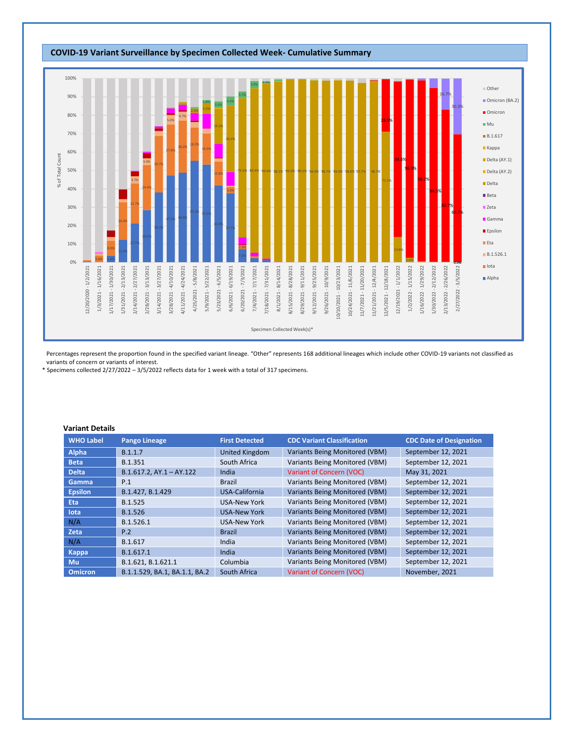

Percentages represent the proportion found in the specified variant lineage. "Other" represents 168 additional lineages which include other COVID-19 variants not classified as variants of concern or variants of interest.

\* Specimens collected 2/27/2022 – 3/5/2022 reflects data for 1 week with a total of 317 specimens.

## **Variant Details**

| <b>WHO Label</b> | <b>Pango Lineage</b>          | <b>First Detected</b> | <b>CDC Variant Classification</b>     | <b>CDC Date of Designation</b> |
|------------------|-------------------------------|-----------------------|---------------------------------------|--------------------------------|
| Alpha            | B.1.1.7                       | <b>United Kingdom</b> | Variants Being Monitored (VBM)        | September 12, 2021             |
| <b>Beta</b>      | B.1.351                       | South Africa          | Variants Being Monitored (VBM)        | September 12, 2021             |
| <b>Delta</b>     | $B.1.617.2$ , AY.1 - AY.122   | India                 | Variant of Concern (VOC)              | May 31, 2021                   |
| Gamma            | P.1                           | <b>Brazil</b>         | Variants Being Monitored (VBM)        | September 12, 2021             |
| <b>Epsilon</b>   | B.1.427, B.1.429              | USA-California        | Variants Being Monitored (VBM)        | September 12, 2021             |
| <b>Eta</b>       | B.1.525                       | <b>USA-New York</b>   | Variants Being Monitored (VBM)        | September 12, 2021             |
| lota             | B.1.526                       | <b>USA-New York</b>   | Variants Being Monitored (VBM)        | September 12, 2021             |
| N/A              | B.1.526.1                     | <b>USA-New York</b>   | Variants Being Monitored (VBM)        | September 12, 2021             |
| Zeta             | P.2                           | <b>Brazil</b>         | Variants Being Monitored (VBM)        | September 12, 2021             |
| N/A              | B.1.617                       | India                 | Variants Being Monitored (VBM)        | September 12, 2021             |
| <b>Kappa</b>     | B.1.617.1                     | India                 | <b>Variants Being Monitored (VBM)</b> | September 12, 2021             |
| Mu               | B.1.621, B.1.621.1            | Columbia              | Variants Being Monitored (VBM)        | September 12, 2021             |
| <b>Omicron</b>   | B.1.1.529, BA.1, BA.1.1, BA.2 | South Africa          | Variant of Concern (VOC)              | November, 2021                 |